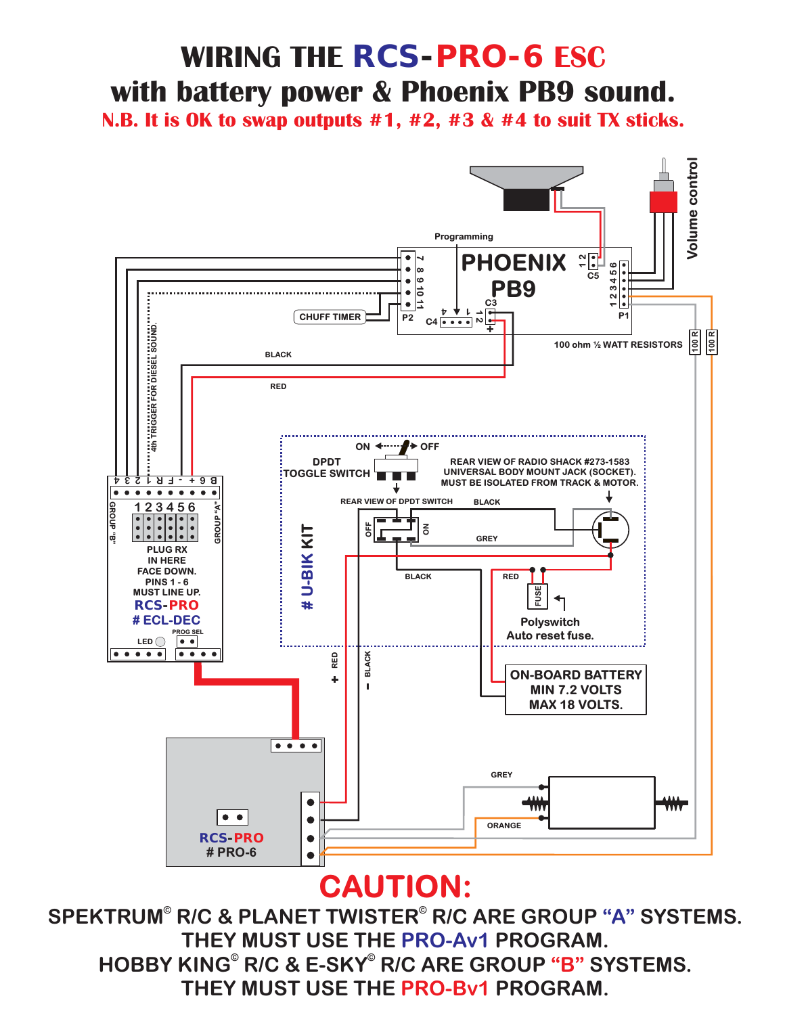## **WIRING THE** *RCS-PRO-6* **ESC with battery power & Phoenix PB9 sound.**

**N.B. It is OK to swap outputs #1, #2, #3 & #4 to suit TX sticks.**



### **CAUTION:**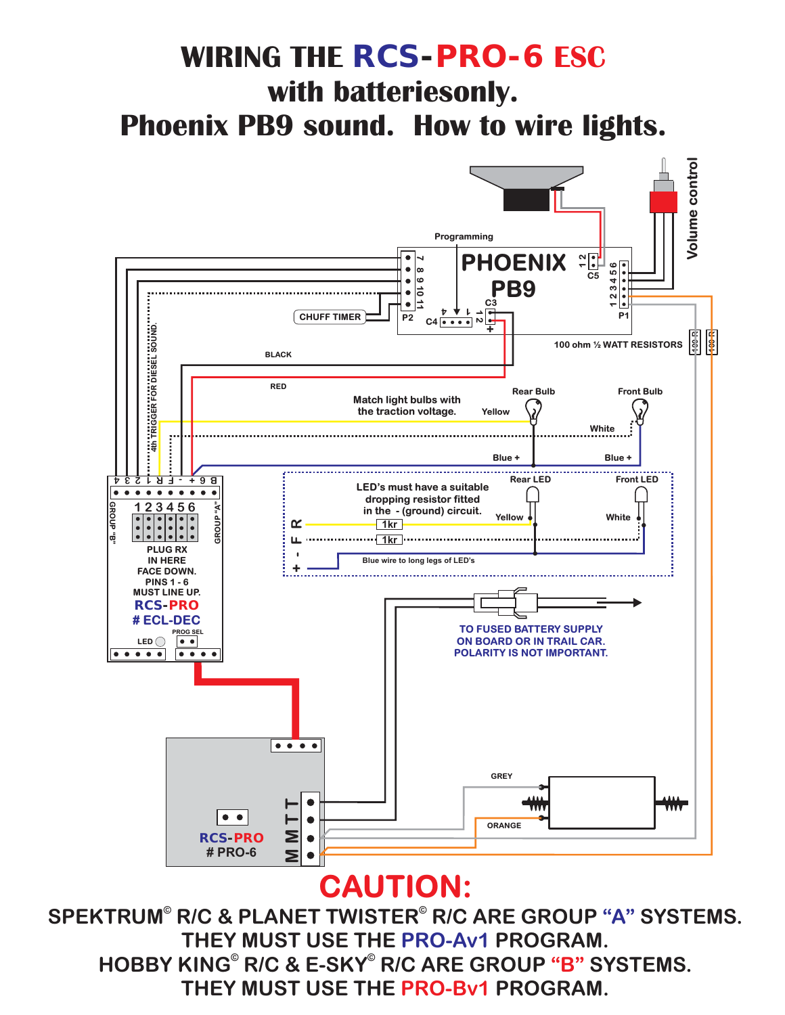## **WIRING THE** *RCS-PRO-6* **ESC with batteriesonly. Phoenix PB9 sound. How to wire lights.**



### **CAUTION:**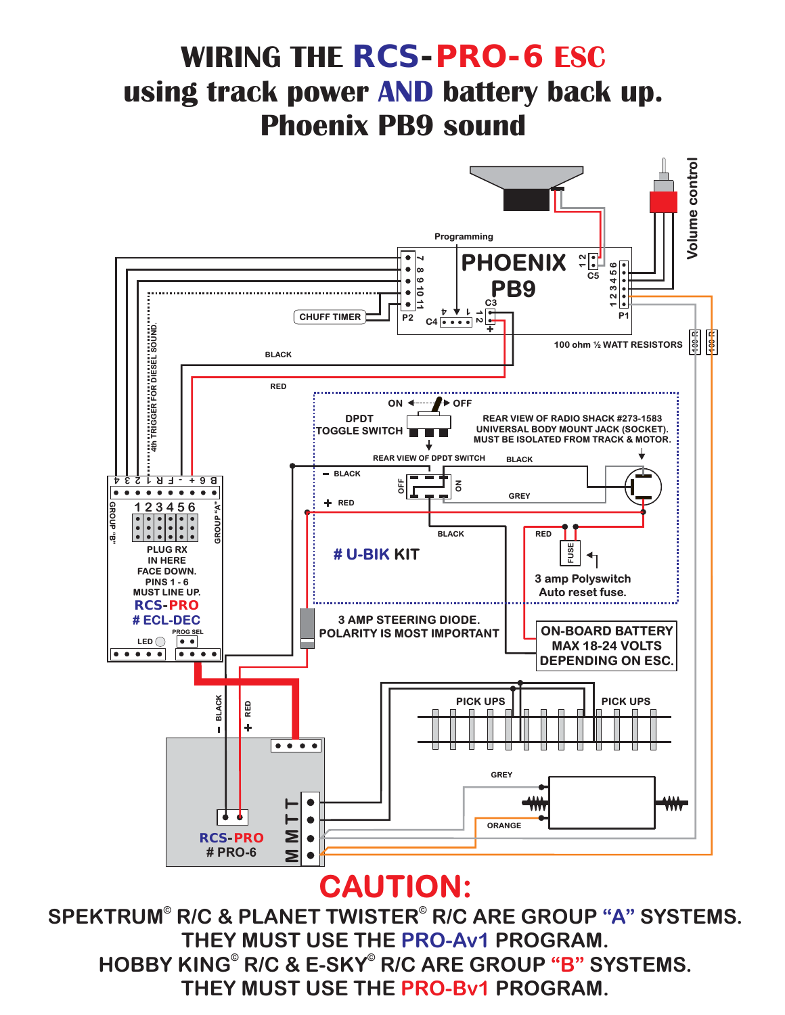## **WIRING THE** *RCS-PRO-6* **ESC using track power AND battery back up. Phoenix PB9 sound**



#### **CAUTION:**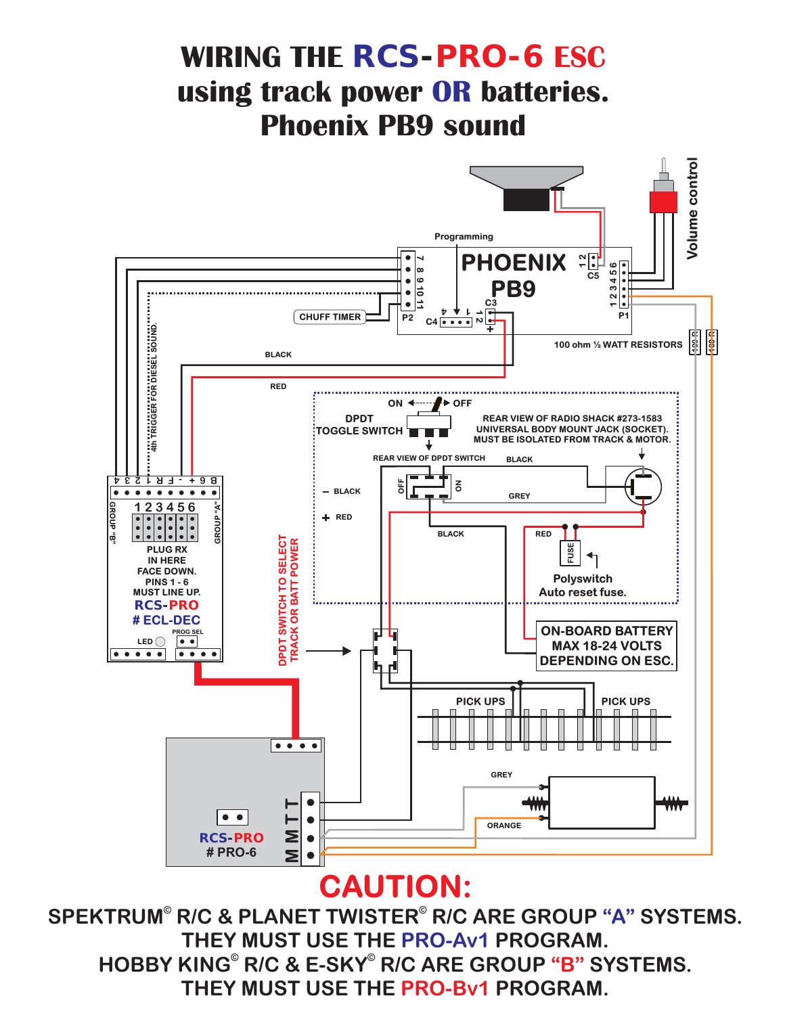## **WIRING THE** *RCS-PRO-6* **ESC using track power OR batteries. Phoenix PB9 sound**



### **CAUTION:**